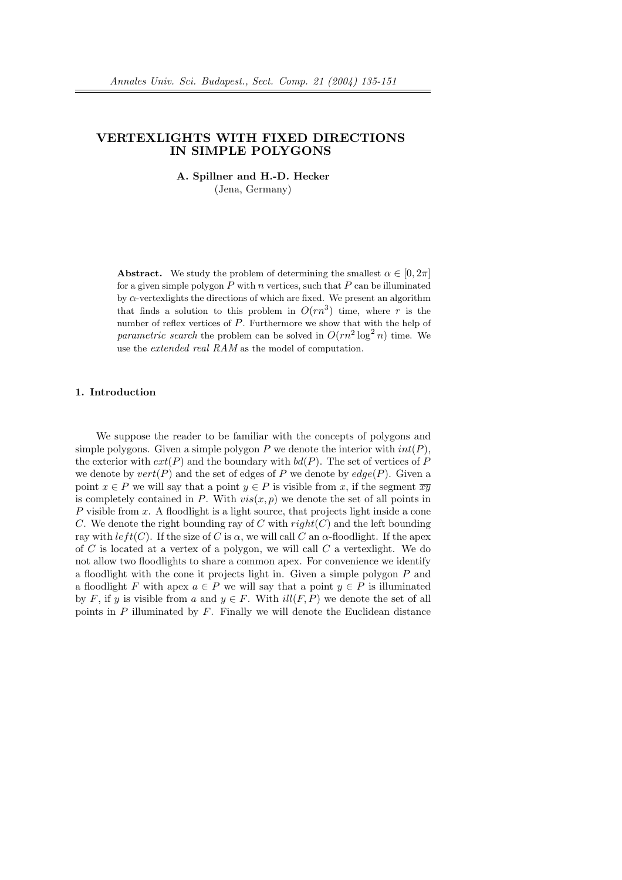# VERTEXLIGHTS WITH FIXED DIRECTIONS IN SIMPLE POLYGONS

A. Spillner and H.-D. Hecker (Jena, Germany)

**Abstract.** We study the problem of determining the smallest  $\alpha \in [0, 2\pi]$ for a given simple polygon P with n vertices, such that P can be illuminated by  $\alpha$ -vertexlights the directions of which are fixed. We present an algorithm that finds a solution to this problem in  $O(rn^3)$  time, where r is the number of reflex vertices of  $P$ . Furthermore we show that with the help of parametric search the problem can be solved in  $O(rn^2 \log^2 n)$  time. We use the extended real RAM as the model of computation.

# 1. Introduction

We suppose the reader to be familiar with the concepts of polygons and simple polygons. Given a simple polygon P we denote the interior with  $int(P)$ , the exterior with  $ext(P)$  and the boundary with  $bd(P)$ . The set of vertices of P we denote by  $vert(P)$  and the set of edges of P we denote by  $edge(P)$ . Given a point  $x \in P$  we will say that a point  $y \in P$  is visible from x, if the segment  $\overline{xy}$ is completely contained in P. With  $vis(x, p)$  we denote the set of all points in P visible from x. A floodlight is a light source, that projects light inside a cone C. We denote the right bounding ray of C with  $right(C)$  and the left bounding ray with  $left(C)$ . If the size of C is  $\alpha$ , we will call C an  $\alpha$ -floodlight. If the apex of  $C$  is located at a vertex of a polygon, we will call  $C$  a vertexlight. We do not allow two floodlights to share a common apex. For convenience we identify a floodlight with the cone it projects light in. Given a simple polygon  $P$  and a floodlight F with apex  $a \in P$  we will say that a point  $y \in P$  is illuminated by F, if y is visible from a and  $y \in F$ . With  $ill(F, P)$  we denote the set of all points in  $P$  illuminated by  $F$ . Finally we will denote the Euclidean distance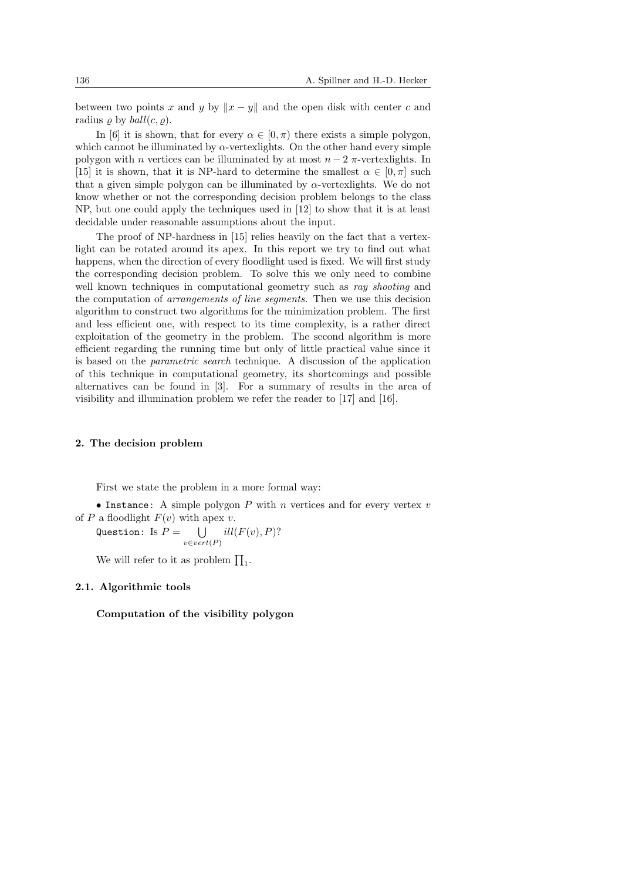between two points x and y by  $||x - y||$  and the open disk with center c and radius  $\rho$  by  $ball(c, \rho)$ .

In [6] it is shown, that for every  $\alpha \in [0, \pi)$  there exists a simple polygon, which cannot be illuminated by  $\alpha$ -vertexlights. On the other hand every simple polygon with n vertices can be illuminated by at most  $n-2$   $\pi$ -vertexlights. In [15] it is shown, that it is NP-hard to determine the smallest  $\alpha \in [0, \pi]$  such that a given simple polygon can be illuminated by  $\alpha$ -vertexlights. We do not know whether or not the corresponding decision problem belongs to the class NP, but one could apply the techniques used in [12] to show that it is at least decidable under reasonable assumptions about the input.

The proof of NP-hardness in [15] relies heavily on the fact that a vertexlight can be rotated around its apex. In this report we try to find out what happens, when the direction of every floodlight used is fixed. We will first study the corresponding decision problem. To solve this we only need to combine well known techniques in computational geometry such as ray shooting and the computation of arrangements of line segments. Then we use this decision algorithm to construct two algorithms for the minimization problem. The first and less efficient one, with respect to its time complexity, is a rather direct exploitation of the geometry in the problem. The second algorithm is more efficient regarding the running time but only of little practical value since it is based on the parametric search technique. A discussion of the application of this technique in computational geometry, its shortcomings and possible alternatives can be found in [3]. For a summary of results in the area of visibility and illumination problem we refer the reader to [17] and [16].

### 2. The decision problem

First we state the problem in a more formal way:

• Instance: A simple polygon  $P$  with  $n$  vertices and for every vertex  $v$ of P a floodlight  $F(v)$  with apex v.

Question: Is  $P=$  $v \in vert(P)$  $ill(F(v), P)$ ?

We will refer to it as problem  $\prod_1$ .

#### 2.1. Algorithmic tools

Computation of the visibility polygon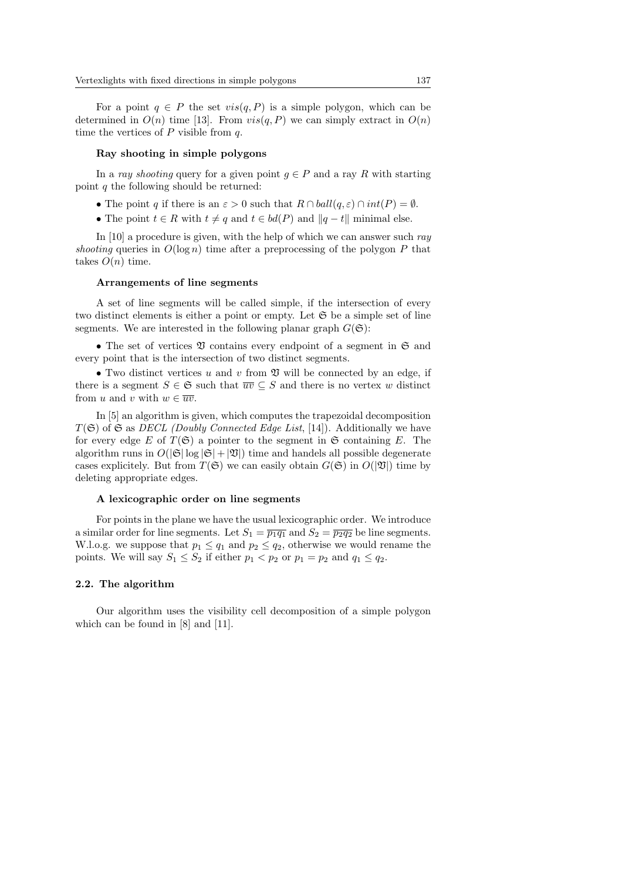For a point  $q \in P$  the set  $vis(q, P)$  is a simple polygon, which can be determined in  $O(n)$  time [13]. From  $vis(q, P)$  we can simply extract in  $O(n)$ time the vertices of  $P$  visible from  $q$ .

#### Ray shooting in simple polygons

In a ray shooting query for a given point  $g \in P$  and a ray R with starting point q the following should be returned:

- The point q if there is an  $\varepsilon > 0$  such that  $R \cap \text{ball}(q, \varepsilon) \cap \text{int}(P) = \emptyset$ .
- The point  $t \in R$  with  $t \neq q$  and  $t \in bd(P)$  and  $||q t||$  minimal else.

In [10] a procedure is given, with the help of which we can answer such ray shooting queries in  $O(\log n)$  time after a preprocessing of the polygon P that takes  $O(n)$  time.

#### Arrangements of line segments

A set of line segments will be called simple, if the intersection of every two distinct elements is either a point or empty. Let  $\mathfrak S$  be a simple set of line segments. We are interested in the following planar graph  $G(\mathfrak{S})$ :

• The set of vertices  $\mathfrak V$  contains every endpoint of a segment in  $\mathfrak S$  and every point that is the intersection of two distinct segments.

• Two distinct vertices u and v from  $\mathfrak V$  will be connected by an edge, if there is a segment  $S \in \mathfrak{S}$  such that  $\overline{uv} \subseteq S$  and there is no vertex w distinct from u and v with  $w \in \overline{uv}$ .

In [5] an algorithm is given, which computes the trapezoidal decomposition  $T(\mathfrak{S})$  of  $\mathfrak{S}$  as *DECL (Doubly Connected Edge List*, [14]). Additionally we have for every edge E of  $T(\mathfrak{S})$  a pointer to the segment in  $\mathfrak{S}$  containing E. The algorithm runs in  $O(|\mathfrak{S}| \log |\mathfrak{S}| + |\mathfrak{V}|)$  time and handels all possible degenerate cases explicitely. But from  $T(\mathfrak{S})$  we can easily obtain  $G(\mathfrak{S})$  in  $O(|\mathfrak{V}|)$  time by deleting appropriate edges.

## A lexicographic order on line segments

For points in the plane we have the usual lexicographic order. We introduce a similar order for line segments. Let  $S_1 = \overline{p_1 q_1}$  and  $S_2 = \overline{p_2 q_2}$  be line segments. W.l.o.g. we suppose that  $p_1 \leq q_1$  and  $p_2 \leq q_2$ , otherwise we would rename the points. We will say  $S_1 \leq S_2$  if either  $p_1 < p_2$  or  $p_1 = p_2$  and  $q_1 \leq q_2$ .

#### 2.2. The algorithm

Our algorithm uses the visibility cell decomposition of a simple polygon which can be found in [8] and [11].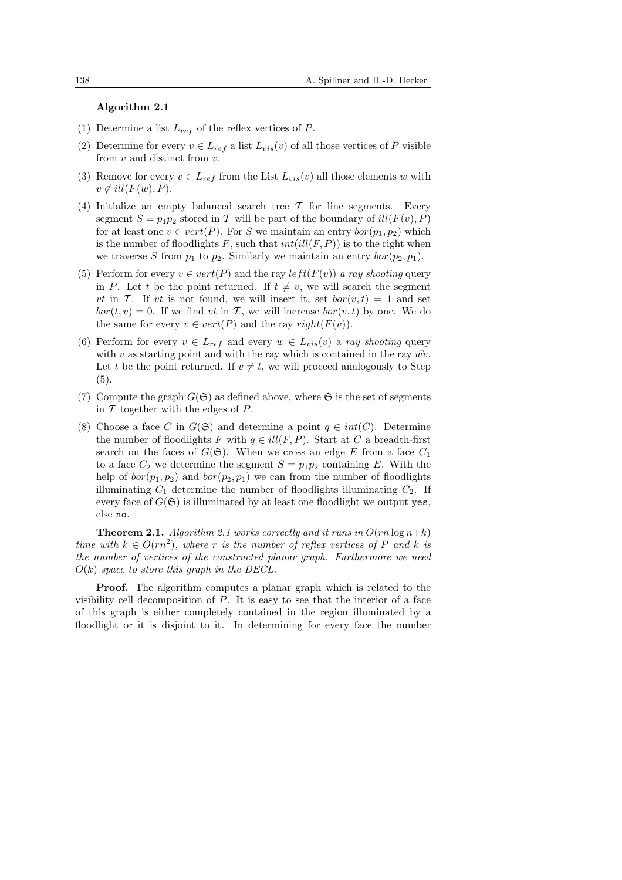#### Algorithm 2.1

- (1) Determine a list  $L_{ref}$  of the reflex vertices of P.
- (2) Determine for every  $v \in L_{ref}$  a list  $L_{vis}(v)$  of all those vertices of P visible from  $v$  and distinct from  $v$ .
- (3) Remove for every  $v \in L_{ref}$  from the List  $L_{vis}(v)$  all those elements w with  $v \notin ill(F(w), P).$
- (4) Initialize an empty balanced search tree  $\mathcal T$  for line segments. Every segment  $S = \overline{p_1p_2}$  stored in T will be part of the boundary of  $ill(F(v), P)$ for at least one  $v \in vert(P)$ . For S we maintain an entry  $bor(p_1, p_2)$  which is the number of floodlights F, such that  $int(i\mathcal{U}(F, P))$  is to the right when we traverse S from  $p_1$  to  $p_2$ . Similarly we maintain an entry  $bor(p_2, p_1)$ .
- (5) Perform for every  $v \in vert(P)$  and the ray  $left(F(v)\right)$  a ray shooting query in P. Let t be the point returned. If  $t \neq v$ , we will search the segment  $\overline{vt}$  in T. If  $\overline{vt}$  is not found, we will insert it, set  $bor(v, t) = 1$  and set  $bor(t, v) = 0$ . If we find  $\overline{vt}$  in T, we will increase  $bor(v, t)$  by one. We do the same for every  $v \in vert(P)$  and the ray  $right(F(v))$ .
- (6) Perform for every  $v \in L_{ref}$  and every  $w \in L_{vis}(v)$  a ray shooting query with v as starting point and with the ray which is contained in the ray  $\vec{w}v$ . Let t be the point returned. If  $v \neq t$ , we will proceed analogously to Step (5).
- (7) Compute the graph  $G(\mathfrak{S})$  as defined above, where  $\mathfrak{S}$  is the set of segments in  $\mathcal T$  together with the edges of  $P$ .
- (8) Choose a face C in  $G(\mathfrak{S})$  and determine a point  $q \in int(C)$ . Determine the number of floodlights F with  $q \in ill(F, P)$ . Start at C a breadth-first search on the faces of  $G(\mathfrak{S})$ . When we cross an edge E from a face  $C_1$ to a face  $C_2$  we determine the segment  $S = \overline{p_1 p_2}$  containing E. With the help of  $bor(p_1, p_2)$  and  $bor(p_2, p_1)$  we can from the number of floodlights illuminating  $C_1$  determine the number of floodlights illuminating  $C_2$ . If every face of  $G(\mathfrak{S})$  is illuminated by at least one floodlight we output yes, else no.

**Theorem 2.1.** Algorithm 2.1 works correctly and it runs in  $O(rn \log n+k)$ time with  $k \in O(rn^2)$ , where r is the number of reflex vertices of P and k is the number of vertices of the constructed planar graph. Furthermore we need  $O(k)$  space to store this graph in the DECL.

**Proof.** The algorithm computes a planar graph which is related to the visibility cell decomposition of  $P$ . It is easy to see that the interior of a face of this graph is either completely contained in the region illuminated by a floodlight or it is disjoint to it. In determining for every face the number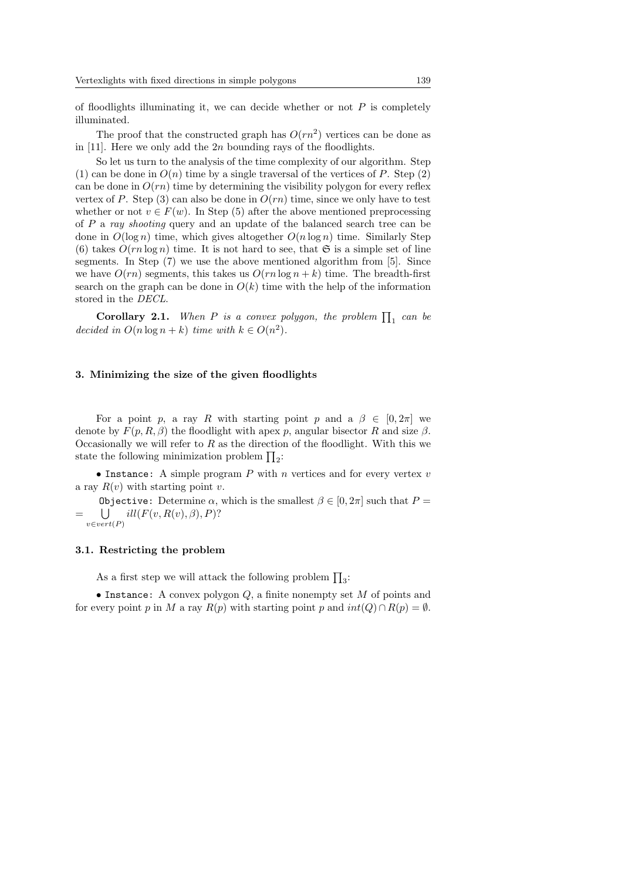of floodlights illuminating it, we can decide whether or not  $P$  is completely illuminated.

The proof that the constructed graph has  $O(rn^2)$  vertices can be done as in  $[11]$ . Here we only add the 2n bounding rays of the floodlights.

So let us turn to the analysis of the time complexity of our algorithm. Step (1) can be done in  $O(n)$  time by a single traversal of the vertices of P. Step (2) can be done in  $O(rn)$  time by determining the visibility polygon for every reflex vertex of P. Step (3) can also be done in  $O(rn)$  time, since we only have to test whether or not  $v \in F(w)$ . In Step (5) after the above mentioned preprocessing of P a ray shooting query and an update of the balanced search tree can be done in  $O(\log n)$  time, which gives altogether  $O(n \log n)$  time. Similarly Step (6) takes  $O(rn \log n)$  time. It is not hard to see, that  $\mathfrak S$  is a simple set of line segments. In Step (7) we use the above mentioned algorithm from [5]. Since we have  $O(rn)$  segments, this takes us  $O(rn \log n + k)$  time. The breadth-first search on the graph can be done in  $O(k)$  time with the help of the information stored in the DECL.

**Corollary 2.1.** When P is a convex polygon, the problem  $\prod_1$  can be decided in  $O(n \log n + k)$  time with  $k \in O(n^2)$ .

#### 3. Minimizing the size of the given floodlights

For a point p, a ray R with starting point p and a  $\beta \in [0, 2\pi]$  we denote by  $F(p, R, \beta)$  the floodlight with apex p, angular bisector R and size  $\beta$ . Occasionally we will refer to  $R$  as the direction of the floodlight. With this we Occasionally we will refer to  $\Lambda$  as the direction<br>state the following minimization problem  $\prod_2$ :

• Instance: A simple program  $P$  with  $n$  vertices and for every vertex  $v$ a ray  $R(v)$  with starting point v.

Objective: Determine  $\alpha$ , which is the smallest  $\beta \in [0, 2\pi]$  such that  $P =$ =  $v \in vert(P)$  $ill(F(v, R(v), \beta), P)?$ 

#### 3.1. Restricting the problem

As a first step we will attack the following problem  $\prod_3$ :

• Instance: A convex polygon  $Q$ , a finite nonempty set M of points and for every point p in M a ray  $R(p)$  with starting point p and  $int(Q) \cap R(p) = \emptyset$ .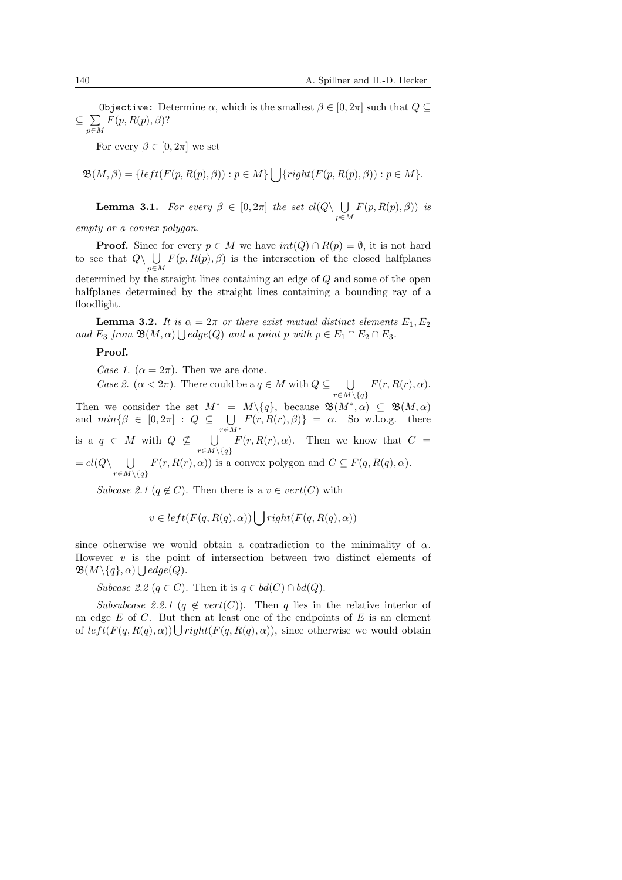Objective: Determine  $\alpha$ , which is the smallest  $\beta \in [0, 2\pi]$  such that  $Q \subseteq$  $\subseteq$   $\sum$ p∈M  $F(p, R(p), \beta)$ ?

For every  $\beta \in [0, 2\pi]$  we set

$$
\mathfrak{B}(M,\beta) = \{left(F(p,R(p),\beta)\right) : p \in M\} \bigcup \{right(F(p,R(p),\beta)) : p \in M\}.
$$

**Lemma 3.1.** For every  $\beta \in [0, 2\pi]$  the set  $cl(Q \setminus \bigcup$ p∈M  $F(p, R(p), \beta)$ ) is

empty or a convex polygon.

**Proof.** Since for every  $p \in M$  we have  $int(Q) \cap R(p) = \emptyset$ , it is not hard **From.** Since for every  $p \in M$  we have  $m(\mathcal{Q}) \cap R(p) = \emptyset$ , it is not halfplanes to see that  $Q \setminus \bigcup F(p, R(p), \beta)$  is the intersection of the closed halfplanes p∈M determined by the straight lines containing an edge of Q and some of the open halfplanes determined by the straight lines containing a bounding ray of a floodlight.

**Lemma 3.2.** It is  $\alpha = 2\pi$  or there exist mutual distinct elements  $E_1, E_2$ and  $E_3$  from  $\mathfrak{B}(M,\alpha) \bigcup edge(Q)$  and a point p with  $p \in E_1 \cap E_2 \cap E_3$ .

### Proof.

Case 1.  $(\alpha = 2\pi)$ . Then we are done. Case 2.  $(\alpha < 2\pi)$ . There could be a  $q \in M$  with  $Q \subseteq \bigcup$  $r \in M \setminus \{q\}$  $F(r, R(r), \alpha)$ . Then we consider the set  $M^* = M \setminus \{q\}$ , because  $\mathfrak{B}(M^*, \alpha) \subseteq \mathfrak{B}(M, \alpha)$ and  $min\{\beta \in [0, 2\pi] : Q \subseteq$ r∈M<sup>∗</sup>  $F(r, R(r), \beta)$ } =  $\alpha$ . So w.l.o.g. there is a  $q \in M$  with  $Q \nsubseteq$ S  $r \in M \setminus \{q\}$  $F(r, R(r), \alpha)$ . Then we know that  $C =$  $= cl(Q)$  U  $r \in M \setminus \{q\}$  $F(r, R(r), \alpha)$  is a convex polygon and  $C \subseteq F(q, R(q), \alpha)$ .

Subcase 2.1 ( $q \notin C$ ). Then there is a  $v \in vert(C)$  with

$$
v \in left(F(q, R(q), \alpha)) \bigcup right(F(q, R(q), \alpha))
$$

since otherwise we would obtain a contradiction to the minimality of  $\alpha$ . However v is the point of intersection between two distinct elements of  $\mathfrak{B}(M\setminus\{q\},\alpha)\bigcup edge(Q).$ 

Subcase 2.2 (q ∈ C). Then it is  $q \in bd(C) \cap bd(Q)$ .

Subsubcase 2.2.1 (q  $\notin vert(C)$ ). Then q lies in the relative interior of an edge  $E$  of  $C$ . But then at least one of the endpoints of  $E$  is an element an edge E of C. But then at least one of the endpoints of E is an element<br>of  $left(F(q, R(q), \alpha)) \bigcup right(F(q, R(q), \alpha))$ , since otherwise we would obtain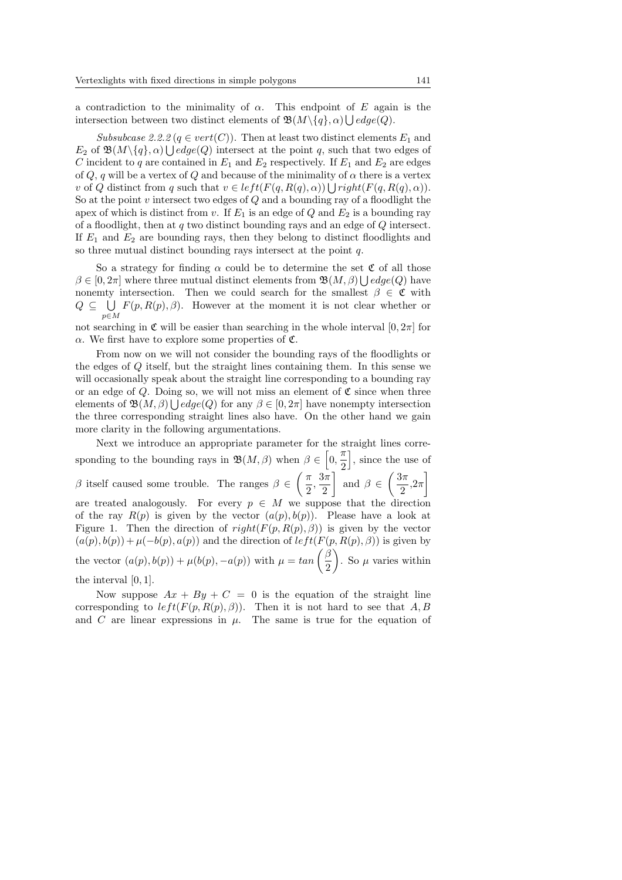a contradiction to the minimality of  $\alpha$ . This endpoint of E again is the intersection between two distinct elements of  $\mathfrak{B}(M \setminus \{q\}, \alpha) \bigcup edge(Q)$ .

Subsubcase 2.2.2 ( $q \in vert(C)$ ). Then at least two distinct elements  $E_1$  and  $E_2$  of  $\mathfrak{B}(M\setminus\{q\},\alpha)\bigcup edge(Q)$  intersect at the point q, such that two edges of C incident to q are contained in  $E_1$  and  $E_2$  respectively. If  $E_1$  and  $E_2$  are edges of Q, q will be a vertex of Q and because of the minimality of  $\alpha$  there is a vertex of Q distinct from q such that  $v \in left(F(q, R(q), \alpha)) \bigcup right(F(q, R(q), \alpha)).$ So at the point  $v$  intersect two edges of  $Q$  and a bounding ray of a floodlight the apex of which is distinct from v. If  $E_1$  is an edge of Q and  $E_2$  is a bounding ray of a floodlight, then at q two distinct bounding rays and an edge of  $Q$  intersect. If  $E_1$  and  $E_2$  are bounding rays, then they belong to distinct floodlights and so three mutual distinct bounding rays intersect at the point q.

So a strategy for finding  $\alpha$  could be to determine the set  $\mathfrak{C}$  of all those  $\beta \in [0, 2\pi]$  where three mutual distinct elements from  $\mathfrak{B}(M, \beta) \bigcup edge(Q)$  have nonemty intersection. Then we could search for the smallest  $\beta \in \mathfrak{C}$  with  $Q \subseteq \bigcup F(p,R(p),\beta)$ . However at the moment it is not clear whether or p∈M

not searching in C will be easier than searching in the whole interval  $[0, 2\pi]$  for α. We first have to explore some properties of C.

From now on we will not consider the bounding rays of the floodlights or the edges of Q itself, but the straight lines containing them. In this sense we will occasionally speak about the straight line corresponding to a bounding ray or an edge of Q. Doing so, we will not miss an element of  $\mathfrak C$  since when three elements of  $\mathfrak{B}(M,\beta) \bigcup edge(Q)$  for any  $\beta \in [0,2\pi]$  have nonempty intersection the three corresponding straight lines also have. On the other hand we gain more clarity in the following argumentations.

Next we introduce an appropriate parameter for the straight lines corresponding to the bounding rays in  $\mathfrak{B}(M, \beta)$  when  $\beta \in [0, \frac{\pi}{2}]$  $\frac{\pi}{2}$ , since the use of β itself caused some trouble. The ranges  $β ∈ \left(\frac{π}{σ}\right)$  $\frac{1}{2}$   $\frac{2}{3}$   $\frac{2}{3}$   $\frac{2}{3}$   $\frac{2}{3}$  $\frac{\pi}{2}, \frac{3\pi}{2}$  $\left\lfloor \frac{3\pi}{2} \right\rfloor$  and  $\beta \in \left( \frac{3\pi}{2} \right)$  $\frac{\pi}{2}, 2\pi$ are treated analogously. For every  $p \in M$  we suppose that the direction of the ray  $R(p)$  is given by the vector  $(a(p), b(p))$ . Please have a look at Figure 1. Then the direction of  $right(F(p, R(p), \beta))$  is given by the vector  $(a(p), b(p)) + \mu(-b(p), a(p))$  and the direction of  $left(F(p, R(p), \beta))$  is given by  $(a(p), b(p)) + \mu(-b(p), a(p))$  and the direction of  $\iota e f \iota(F)$ <br>the vector  $(a(p), b(p)) + \mu(b(p), -a(p))$  with  $\mu = \tan \left( \frac{\beta}{2} \right)$  $\frac{\beta}{2}$ . So  $\mu$  varies within the interval  $[0, 1]$ .

Now suppose  $Ax + By + C = 0$  is the equation of the straight line corresponding to  $left(F(p, R(p), \beta)\right)$ . Then it is not hard to see that A, B and C are linear expressions in  $\mu$ . The same is true for the equation of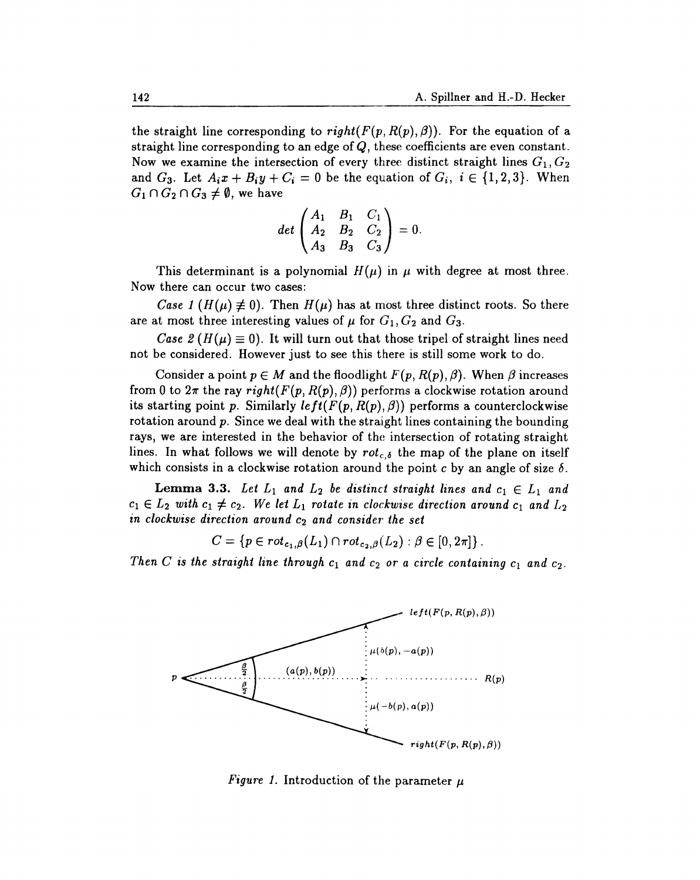the straight line corresponding to right( $F(p, R(p), \beta)$ ). For the equation of a straight line corresponding to an edge of  $Q$ , these coefficients are even constant. Now we examine the intersection of every three distinct straight lines  $G_1, G_2$ and  $G_3$ . Let  $A_i x + B_i y + C_i = 0$  be the equation of  $G_i$ ,  $i \in \{1,2,3\}$ . When  $G_1 \cap G_2 \cap G_3 \neq \emptyset$ , we have

$$
det\begin{pmatrix} A_1 & B_1 & C_1 \ A_2 & B_2 & C_2 \ A_3 & B_3 & C_3 \end{pmatrix} = 0.
$$

This determinant is a polynomial  $H(\mu)$  in  $\mu$  with degree at most three. Now there can occur two cases:

*Case 1* ( $H(\mu) \neq 0$ ). Then  $H(\mu)$  has at most three distinct roots. So there are at most three interesting values of  $\mu$  for  $G_1, G_2$  and  $G_3$ .

Case 2 ( $H(\mu) \equiv 0$ ). It will turn out that those tripel of straight lines need not be considered. However just to see this there is still some work to do.

Consider a point  $p \in M$  and the floodlight  $F(p, R(p), \beta)$ . When  $\beta$  increases from 0 to  $2\pi$  the ray right( $F(p, R(p), \beta)$ ) performs a clockwise rotation around its starting point p. Similarly  $left(F(p, R(p), \beta))$  performs a counterclockwise rotation around  $p$ . Since we deal with the straight lines containing the bounding rays, we are interested in the behavior of the intersection of rotating straight lines. In what follows we will denote by  $rot_{c,\delta}$  the map of the plane on itself which consists in a clockwise rotation around the point c by an angle of size  $\delta$ .

**Lemma 3.3.** Let  $L_1$  and  $L_2$  be distinct straight lines and  $c_1 \in L_1$  and  $c_1 \in L_2$  with  $c_1 \neq c_2$ . We let  $L_1$  rotate in clockwise direction around  $c_1$  and  $L_2$ in clockwise direction around  $c_2$  and consider the set

 $C = \{p \in rot_{c_1, \beta}(L_1) \cap rot_{c_2, \beta}(L_2) : \beta \in [0, 2\pi]\}.$ 

Then C is the straight line through  $c_1$  and  $c_2$  or a circle containing  $c_1$  and  $c_2$ .



*Figure 1.* Introduction of the parameter  $\mu$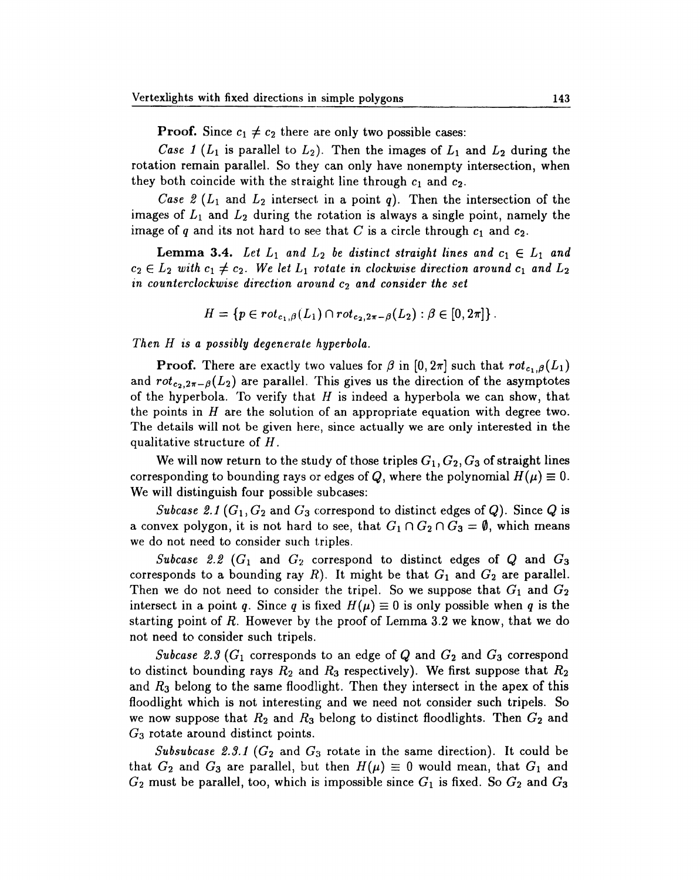**Proof.** Since  $c_1 \neq c_2$  there are only two possible cases:

Case 1 ( $L_1$  is parallel to  $L_2$ ). Then the images of  $L_1$  and  $L_2$  during the rotation remain parallel. So they can only have nonempty intersection, when they both coincide with the straight line through  $c_1$  and  $c_2$ .

Case 2 ( $L_1$  and  $L_2$  intersect in a point q). Then the intersection of the images of  $L_1$  and  $L_2$  during the rotation is always a single point, namely the image of q and its not hard to see that C is a circle through  $c_1$  and  $c_2$ .

**Lemma 3.4.** Let  $L_1$  and  $L_2$  be distinct straight lines and  $c_1 \in L_1$  and  $c_2 \in L_2$  with  $c_1 \neq c_2$ . We let  $L_1$  rotate in clockwise direction around  $c_1$  and  $L_2$ in counterclockwise direction around  $c_2$  and consider the set

$$
H = \{ p \in rot_{c_1, \beta}(L_1) \cap rot_{c_2, 2\pi - \beta}(L_2) : \beta \in [0, 2\pi] \}.
$$

Then H is a possibly degenerate hyperbola.

**Proof.** There are exactly two values for  $\beta$  in [0, 2 $\pi$ ] such that  $rot_{c_1,\beta}(L_1)$ and  $rot_{c_2,2\pi-\beta}(L_2)$  are parallel. This gives us the direction of the asymptotes of the hyperbola. To verify that  $H$  is indeed a hyperbola we can show, that the points in  $H$  are the solution of an appropriate equation with degree two. The details will not be given here, since actually we are only interested in the qualitative structure of  $H$ .

We will now return to the study of those triples  $G_1, G_2, G_3$  of straight lines corresponding to bounding rays or edges of Q, where the polynomial  $H(\mu) \equiv 0$ . We will distinguish four possible subcases:

Subcase 2.1 ( $G_1, G_2$  and  $G_3$  correspond to distinct edges of Q). Since Q is a convex polygon, it is not hard to see, that  $G_1 \cap G_2 \cap G_3 = \emptyset$ , which means we do not need to consider such triples.

Subcase 2.2 ( $G_1$  and  $G_2$  correspond to distinct edges of Q and  $G_3$ corresponds to a bounding ray  $R$ ). It might be that  $G_1$  and  $G_2$  are parallel. Then we do not need to consider the tripel. So we suppose that  $G_1$  and  $G_2$ intersect in a point q. Since q is fixed  $H(\mu) \equiv 0$  is only possible when q is the starting point of  $R$ . However by the proof of Lemma 3.2 we know, that we do not need to consider such tripels.

Subcase 2.3 ( $G_1$  corresponds to an edge of Q and  $G_2$  and  $G_3$  correspond to distinct bounding rays  $R_2$  and  $R_3$  respectively). We first suppose that  $R_2$ and  $R_3$  belong to the same floodlight. Then they intersect in the apex of this floodlight which is not interesting and we need not consider such tripels. So we now suppose that  $R_2$  and  $R_3$  belong to distinct floodlights. Then  $G_2$  and  $G_3$  rotate around distinct points.

Subsubcase 2.3.1 ( $G_2$  and  $G_3$  rotate in the same direction). It could be that  $G_2$  and  $G_3$  are parallel, but then  $H(\mu) \equiv 0$  would mean, that  $G_1$  and  $G_2$  must be parallel, too, which is impossible since  $G_1$  is fixed. So  $G_2$  and  $G_3$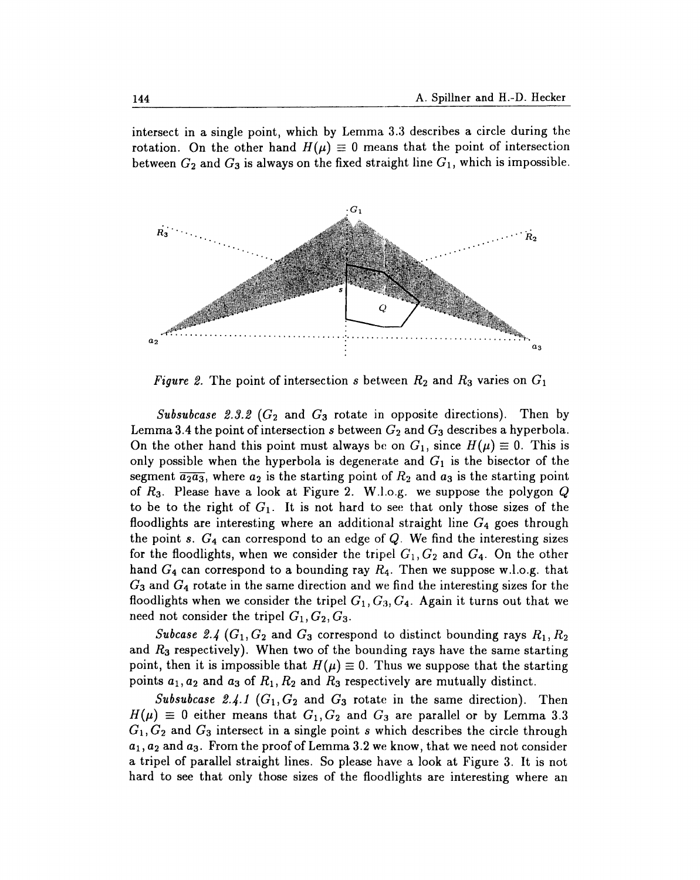intersect in a single point, which by Lemma 3.3 describes a circle during the rotation. On the other hand  $H(\mu) \equiv 0$  means that the point of intersection between  $G_2$  and  $G_3$  is always on the fixed straight line  $G_1$ , which is impossible.



Figure 2. The point of intersection s between  $R_2$  and  $R_3$  varies on  $G_1$ 

*Subsubcase 2.3.2 (G<sub>2</sub> and G<sub>3</sub> rotate in opposite directions)*. Then by Lemma 3.4 the point of intersection s between  $G_2$  and  $G_3$  describes a hyperbola. On the other hand this point must always be on  $G_1$ , since  $H(\mu) \equiv 0$ . This is only possible when the hyperbola is degenerate and  $G_1$  is the bisector of the segment  $\overline{a_2a_3}$ , where  $a_2$  is the starting point of  $R_2$  and  $a_3$  is the starting point of  $R_3$ . Please have a look at Figure 2. W.l.o.g. we suppose the polygon Q to be to the right of  $G_1$ . It is not hard to see that only those sizes of the floodlights are interesting where an additional straight line  $G_4$  goes through the point s.  $G_4$  can correspond to an edge of  $Q$ . We find the interesting sizes for the floodlights, when we consider the tripel  $G_1, G_2$  and  $G_4$ . On the other hand  $G_4$  can correspond to a bounding ray  $R_4$ . Then we suppose w.l.o.g. that  $G_3$  and  $G_4$  rotate in the same direction and we find the interesting sizes for the floodlights when we consider the tripel  $G_1, G_3, G_4$ . Again it turns out that we need not consider the tripel  $G_1, G_2, G_3$ .

Subcase 2.4 ( $G_1, G_2$  and  $G_3$  correspond to distinct bounding rays  $R_1, R_2$ and  $R_3$  respectively). When two of the bounding rays have the same starting point, then it is impossible that  $H(\mu) \equiv 0$ . Thus we suppose that the starting points  $a_1, a_2$  and  $a_3$  of  $R_1, R_2$  and  $R_3$  respectively are mutually distinct.

Subsubcase 2.4.1  $(G_1, G_2$  and  $G_3$  rotate in the same direction). Then  $H(\mu) \equiv 0$  either means that  $G_1, G_2$  and  $G_3$  are parallel or by Lemma 3.3  $G_1, G_2$  and  $G_3$  intersect in a single point s which describes the circle through  $a_1, a_2$  and  $a_3$ . From the proof of Lemma 3.2 we know, that we need not consider a tripel of parallel straight lines. So please have a look at Figure 3. It is not hard to see that only those sizes of the floodlights are interesting where an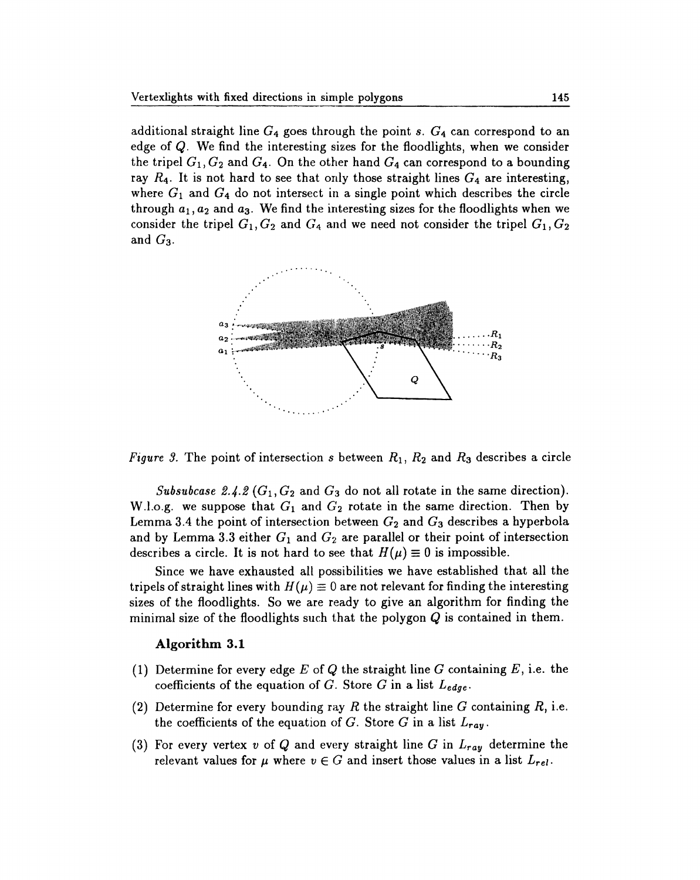additional straight line  $G_4$  goes through the point s.  $G_4$  can correspond to an edge of  $Q$ . We find the interesting sizes for the floodlights, when we consider the tripel  $G_1, G_2$  and  $G_4$ . On the other hand  $G_4$  can correspond to a bounding ray  $R_4$ . It is not hard to see that only those straight lines  $G_4$  are interesting, where  $G_1$  and  $G_4$  do not intersect in a single point which describes the circle through  $a_1, a_2$  and  $a_3$ . We find the interesting sizes for the floodlights when we consider the tripel  $G_1, G_2$  and  $G_4$  and we need not consider the tripel  $G_1, G_2$ and  $G_3$ .



*Figure 3.* The point of intersection s between  $R_1$ ,  $R_2$  and  $R_3$  describes a circle

Subsubcase 2.4.2 ( $G_1, G_2$  and  $G_3$  do not all rotate in the same direction). W.l.o.g. we suppose that  $G_1$  and  $G_2$  rotate in the same direction. Then by Lemma 3.4 the point of intersection between  $G_2$  and  $G_3$  describes a hyperbola and by Lemma 3.3 either  $G_1$  and  $G_2$  are parallel or their point of intersection describes a circle. It is not hard to see that  $H(\mu) \equiv 0$  is impossible.

Since we have exhausted all possibilities we have established that all the tripels of straight lines with  $H(\mu) \equiv 0$  are not relevant for finding the interesting sizes of the floodlights. So we are ready to give an algorithm for finding the minimal size of the floodlights such that the polygon  $Q$  is contained in them.

## Algorithm 3.1

- (1) Determine for every edge  $E$  of  $Q$  the straight line  $G$  containing  $E$ , i.e. the coefficients of the equation of G. Store G in a list  $L_{edge}$ .
- (2) Determine for every bounding ray R the straight line G containing R, i.e. the coefficients of the equation of G. Store G in a list  $L_{ray}$ .
- (3) For every vertex v of Q and every straight line G in  $L_{ray}$  determine the relevant values for  $\mu$  where  $v \in G$  and insert those values in a list  $L_{rel}$ .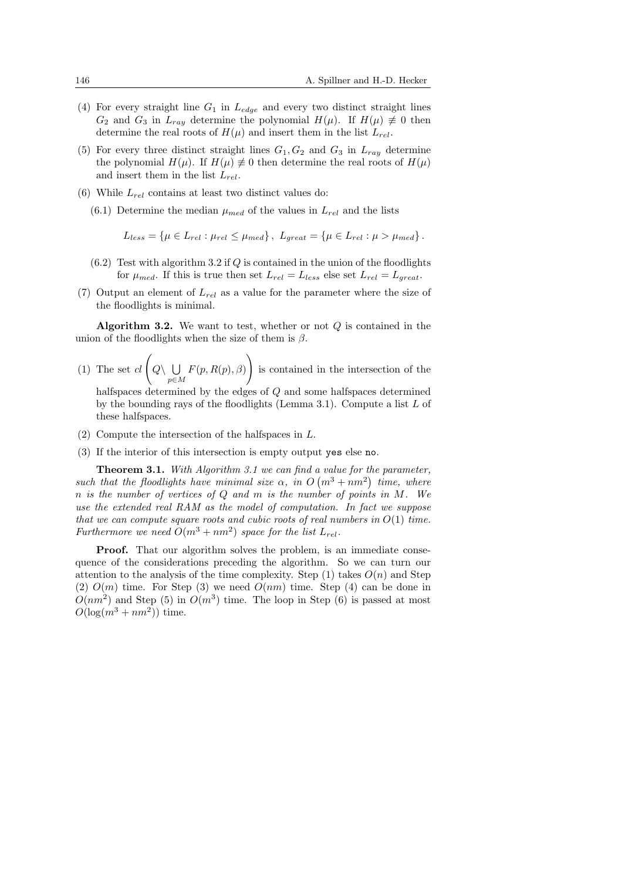- (4) For every straight line  $G_1$  in  $L_{edge}$  and every two distinct straight lines  $G_2$  and  $G_3$  in  $L_{ray}$  determine the polynomial  $H(\mu)$ . If  $H(\mu) \neq 0$  then determine the real roots of  $H(\mu)$  and insert them in the list  $L_{rel}$ .
- (5) For every three distinct straight lines  $G_1, G_2$  and  $G_3$  in  $L_{ray}$  determine the polynomial  $H(\mu)$ . If  $H(\mu) \neq 0$  then determine the real roots of  $H(\mu)$ and insert them in the list  $L_{rel}$ .
- (6) While  $L_{rel}$  contains at least two distinct values do:
	- $(6.1)$  Determine the median  $\mu_{med}$  of the values in  $L_{rel}$  and the lists

$$
L_{less} = \{\mu \in L_{rel} : \mu_{rel} \leq \mu_{med}\}, \ L_{great} = \{\mu \in L_{rel} : \mu > \mu_{med}\}.
$$

- $(6.2)$  Test with algorithm 3.2 if Q is contained in the union of the floodlights for  $\mu_{med}$ . If this is true then set  $L_{rel} = L_{less}$  else set  $L_{rel} = L_{great}$ .
- (7) Output an element of  $L_{rel}$  as a value for the parameter where the size of the floodlights is minimal.

**Algorithm 3.2.** We want to test, whether or not  $Q$  is contained in the union of the floodlights when the size of them is  $\beta$ .

(1) The set  $cl \left( Q \setminus \bigcup \right)$ p∈M  $F(p, R(p), \beta)$ !<br>} is contained in the intersection of the halfspaces determined by the edges of Q and some halfspaces determined

by the bounding rays of the floodlights (Lemma 3.1). Compute a list  $L$  of these halfspaces.

- $(2)$  Compute the intersection of the halfspaces in L.
- (3) If the interior of this intersection is empty output yes else no.

**Theorem 3.1.** With Algorithm 3.1 we can find a value for the parameter, such that the floodlights have minimal size  $\alpha$ , in O  $\frac{a \; value \; for \; u}{(m^3 + nm^2)}$ time, where n is the number of vertices of Q and m is the number of points in M. We use the extended real RAM as the model of computation. In fact we suppose that we can compute square roots and cubic roots of real numbers in  $O(1)$  time. Furthermore we need  $O(m^3 + nm^2)$  space for the list  $L_{rel}$ .

**Proof.** That our algorithm solves the problem, is an immediate consequence of the considerations preceding the algorithm. So we can turn our attention to the analysis of the time complexity. Step (1) takes  $O(n)$  and Step (2)  $O(m)$  time. For Step (3) we need  $O(nm)$  time. Step (4) can be done in  $O(nm^2)$  and Step (5) in  $O(m^3)$  time. The loop in Step (6) is passed at most  $O(\log(m^3 + nm^2))$  time.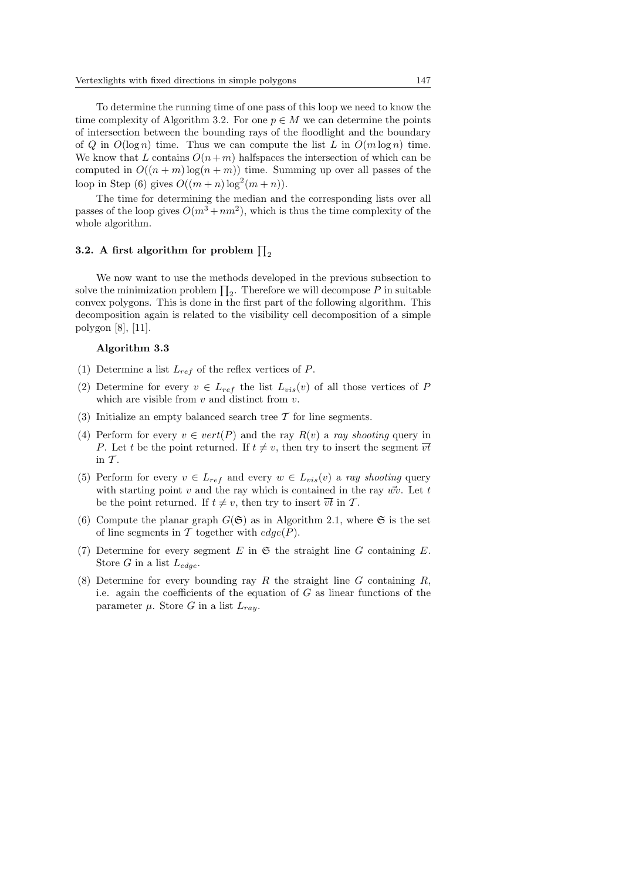To determine the running time of one pass of this loop we need to know the time complexity of Algorithm 3.2. For one  $p \in M$  we can determine the points of intersection between the bounding rays of the floodlight and the boundary of Q in  $O(\log n)$  time. Thus we can compute the list L in  $O(m \log n)$  time. We know that L contains  $O(n+m)$  halfspaces the intersection of which can be computed in  $O((n+m) \log(n+m))$  time. Summing up over all passes of the loop in Step (6) gives  $O((m+n)\log^2(m+n))$ .

The time for determining the median and the corresponding lists over all passes of the loop gives  $O(m^3 + nm^2)$ , which is thus the time complexity of the whole algorithm.

# 3.2. A first algorithm for problem  $\prod_2$

We now want to use the methods developed in the previous subsection to we now want to use the methods developed in the previous subsection to<br>solve the minimization problem  $\prod_2$ . Therefore we will decompose P in suitable convex polygons. This is done in the first part of the following algorithm. This decomposition again is related to the visibility cell decomposition of a simple polygon [8], [11].

#### Algorithm 3.3

- (1) Determine a list  $L_{ref}$  of the reflex vertices of P.
- (2) Determine for every  $v \in L_{ref}$  the list  $L_{vis}(v)$  of all those vertices of P which are visible from  $v$  and distinct from  $v$ .
- (3) Initialize an empty balanced search tree  $\mathcal T$  for line segments.
- (4) Perform for every  $v \in vert(P)$  and the ray  $R(v)$  a ray shooting query in P. Let t be the point returned. If  $t \neq v$ , then try to insert the segment  $\overline{vt}$ in  $\mathcal T$ .
- (5) Perform for every  $v \in L_{ref}$  and every  $w \in L_{vis}(v)$  a ray shooting query with starting point v and the ray which is contained in the ray  $\vec{wv}$ . Let t be the point returned. If  $t \neq v$ , then try to insert  $\overline{vt}$  in T.
- (6) Compute the planar graph  $G(\mathfrak{S})$  as in Algorithm 2.1, where  $\mathfrak{S}$  is the set of line segments in T together with  $edge(P)$ .
- (7) Determine for every segment E in  $\mathfrak S$  the straight line G containing E. Store G in a list  $L_{edae}$ .
- (8) Determine for every bounding ray R the straight line G containing R, i.e. again the coefficients of the equation of  $G$  as linear functions of the parameter  $\mu$ . Store G in a list  $L_{ray}$ .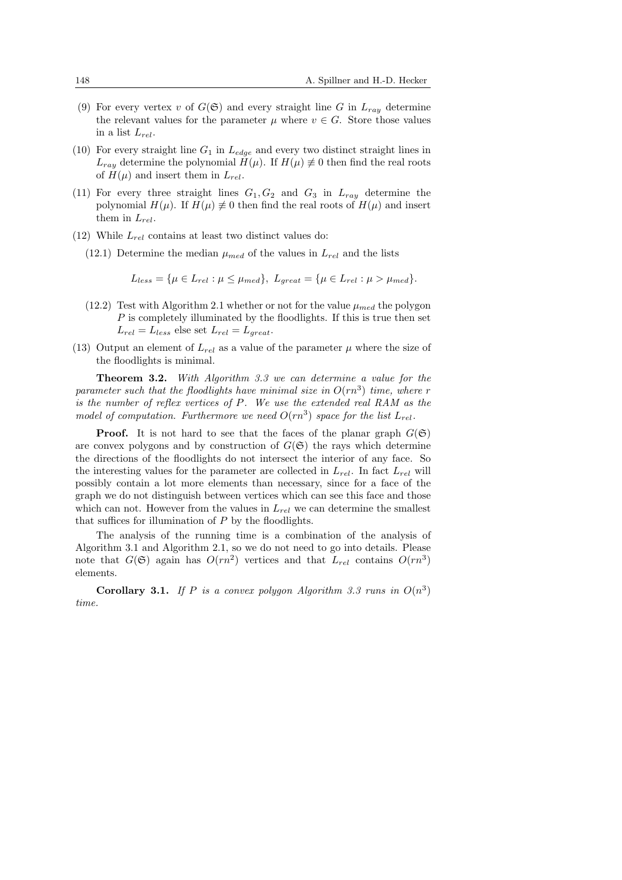- (9) For every vertex v of  $G(\mathfrak{S})$  and every straight line G in  $L_{ray}$  determine the relevant values for the parameter  $\mu$  where  $v \in G$ . Store those values in a list  $L_{rel}$ .
- (10) For every straight line  $G_1$  in  $L_{edge}$  and every two distinct straight lines in  $L_{raw}$  determine the polynomial  $H(\mu)$ . If  $H(\mu) \neq 0$  then find the real roots of  $H(\mu)$  and insert them in  $L_{rel}$ .
- (11) For every three straight lines  $G_1, G_2$  and  $G_3$  in  $L_{ray}$  determine the polynomial  $H(\mu)$ . If  $H(\mu) \neq 0$  then find the real roots of  $H(\mu)$  and insert them in  $L_{rel}$ .
- (12) While  $L_{rel}$  contains at least two distinct values do:
	- (12.1) Determine the median  $\mu_{med}$  of the values in  $L_{rel}$  and the lists

$$
L_{less} = \{\mu \in L_{rel} : \mu \leq \mu_{med}\}, L_{great} = \{\mu \in L_{rel} : \mu > \mu_{med}\}.
$$

- (12.2) Test with Algorithm 2.1 whether or not for the value  $\mu_{med}$  the polygon  $P$  is completely illuminated by the floodlights. If this is true then set  $L_{rel} = L_{less}$  else set  $L_{rel} = L_{areat}$ .
- (13) Output an element of  $L_{rel}$  as a value of the parameter  $\mu$  where the size of the floodlights is minimal.

**Theorem 3.2.** With Algorithm 3.3 we can determine a value for the parameter such that the floodlights have minimal size in  $O(rn^3)$  time, where r is the number of reflex vertices of P. We use the extended real RAM as the model of computation. Furthermore we need  $O(rn^3)$  space for the list  $L_{rel}$ .

**Proof.** It is not hard to see that the faces of the planar graph  $G(\mathfrak{S})$ are convex polygons and by construction of  $G(\mathfrak{S})$  the rays which determine the directions of the floodlights do not intersect the interior of any face. So the interesting values for the parameter are collected in  $L_{rel}$ . In fact  $L_{rel}$  will possibly contain a lot more elements than necessary, since for a face of the graph we do not distinguish between vertices which can see this face and those which can not. However from the values in  $L_{rel}$  we can determine the smallest that suffices for illumination of  $P$  by the floodlights.

The analysis of the running time is a combination of the analysis of Algorithm 3.1 and Algorithm 2.1, so we do not need to go into details. Please note that  $G(\mathfrak{S})$  again has  $O(rn^2)$  vertices and that  $L_{rel}$  contains  $O(rn^3)$ elements.

**Corollary 3.1.** If P is a convex polygon Algorithm 3.3 runs in  $O(n^3)$ time.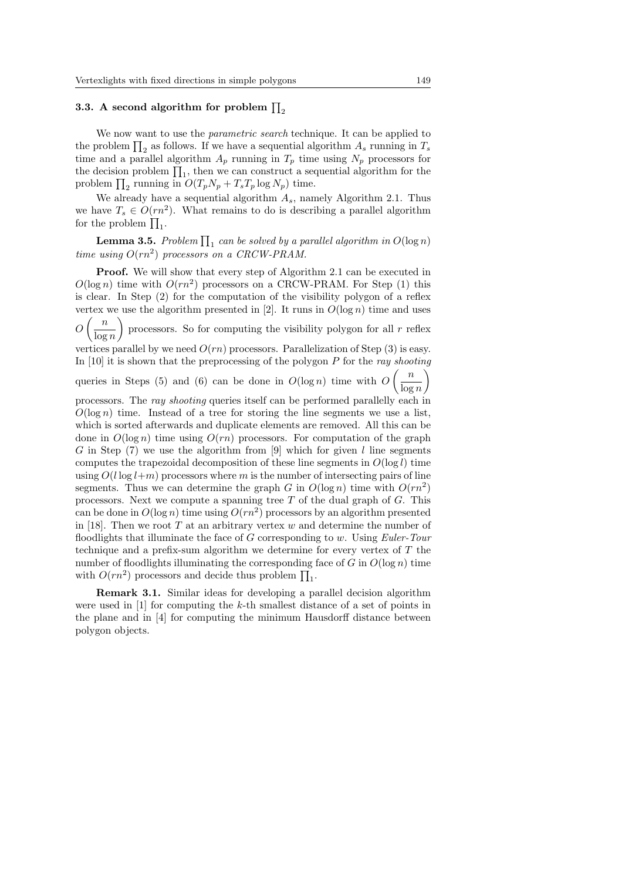# 3.3. A second algorithm for problem  $\prod_2$

We now want to use the *parametric search* technique. It can be applied to we now want to use the *parametric search* technique. It can be applied to<br>the problem  $\prod_2$  as follows. If we have a sequential algorithm  $A_s$  running in  $T_s$ time and a parallel algorithm  $A_p$  running in  $T_p$  time using  $N_p$  processors for the decision problem  $\prod_1$ , then we can construct a sequential algorithm for the decision problem  $\prod_1$ , then we can construct a sequential algorithm for the the decision problem  $\prod_1$ , then we can construct a see<br>problem  $\prod_2$  running in  $O(T_pN_p + T_sT_p \log N_p)$  time.

We already have a sequential algorithm  $A_s$ , namely Algorithm 2.1. Thus we have  $T_s \in O(rn^2)$ . What remains to do is describing a parallel algorithm we have  $I_s \in \mathcal{O}(rn)$ <br>for the problem  $\prod_1$ .

**Lemma 3.5.** Problem  $\prod_1$  can be solved by a parallel algorithm in  $O(\log n)$ time using  $O(rn^2)$  processors on a CRCW-PRAM.

**Proof.** We will show that every step of Algorithm 2.1 can be executed in  $O(\log n)$  time with  $O(rn^2)$  processors on a CRCW-PRAM. For Step (1) this is clear. In Step (2) for the computation of the visibility polygon of a reflex vertex we use the algorithm presented in [2]. It runs in  $O(\log n)$  time and uses  $O\left(\frac{n}{1}\right)$  $\left(\frac{n}{\log n}\right)$  processors. So for computing the visibility polygon for all r reflex vertices parallel by we need  $O(rn)$  processors. Parallelization of Step (3) is easy. In [10] it is shown that the preprocessing of the polygon  $P$  for the ray shooting queries in Steps (5) and (6) can be done in  $O(\log n)$  time with  $O\left(\frac{n}{1-\epsilon}\right)$  $\log n$ processors. The ray shooting queries itself can be performed parallelly each in  $O(\log n)$  time. Instead of a tree for storing the line segments we use a list, which is sorted afterwards and duplicate elements are removed. All this can be done in  $O(\log n)$  time using  $O(rn)$  processors. For computation of the graph G in Step  $(7)$  we use the algorithm from  $[9]$  which for given l line segments computes the trapezoidal decomposition of these line segments in  $O(\log l)$  time using  $O(l \log l+m)$  processors where m is the number of intersecting pairs of line segments. Thus we can determine the graph G in  $O(\log n)$  time with  $O(rn^2)$ processors. Next we compute a spanning tree  $T$  of the dual graph of  $G$ . This can be done in  $O(\log n)$  time using  $O(rn^2)$  processors by an algorithm presented in [18]. Then we root T at an arbitrary vertex  $w$  and determine the number of floodlights that illuminate the face of  $G$  corresponding to  $w$ . Using *Euler-Tour* technique and a prefix-sum algorithm we determine for every vertex of  $T$  the number of floodlights illuminating the corresponding face of G in  $O(\log n)$  time number of hooding its infinitiating the corresponding is<br>with  $O(rn^2)$  processors and decide thus problem  $\prod_1$ .

Remark 3.1. Similar ideas for developing a parallel decision algorithm were used in [1] for computing the k-th smallest distance of a set of points in the plane and in [4] for computing the minimum Hausdorff distance between polygon objects.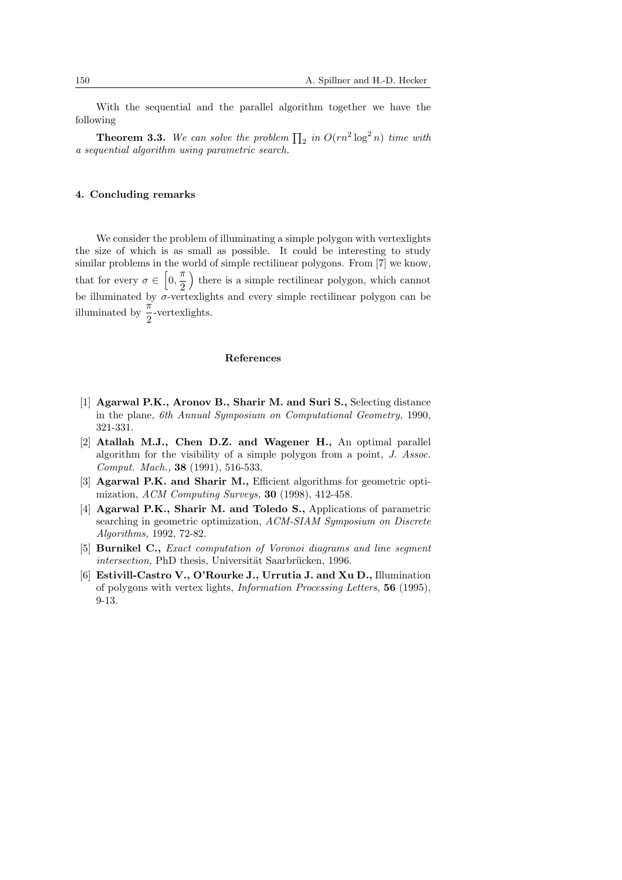With the sequential and the parallel algorithm together we have the following

**Theorem 3.3.** We can solve the problem  $\prod_2$  in  $O(rn^2 \log^2 n)$  time with a sequential algorithm using parametric search.

#### 4. Concluding remarks

We consider the problem of illuminating a simple polygon with vertexlights the size of which is as small as possible. It could be interesting to study similar problems in the world of simple rectilinear polygons. From [7] we know, that for every  $\sigma \in$  $\frac{b}{r}$  $\frac{\pi}{\Omega}$ 2  $\frac{0}{1}$ there is a simple rectilinear polygon, which cannot be illuminated by  $\sigma$ -vertexlights and every simple rectilinear polygon can be illuminated by  $\frac{\pi}{2}$ -vertexlights.

#### References

- [1] Agarwal P.K., Aronov B., Sharir M. and Suri S., Selecting distance in the plane, 6th Annual Symposium on Computational Geometry, 1990, 321-331.
- [2] Atallah M.J., Chen D.Z. and Wagener H., An optimal parallel algorithm for the visibility of a simple polygon from a point, J. Assoc. Comput. Mach., 38 (1991), 516-533.
- [3] Agarwal P.K. and Sharir M., Efficient algorithms for geometric optimization, ACM Computing Surveys, 30 (1998), 412-458.
- [4] Agarwal P.K., Sharir M. and Toledo S., Applications of parametric searching in geometric optimization, ACM-SIAM Symposium on Discrete Algorithms, 1992, 72-82.
- [5] Burnikel C., Exact computation of Voronoi diagrams and line segment intersection, PhD thesis, Universität Saarbrücken, 1996.
- [6] Estivill-Castro V., O'Rourke J., Urrutia J. and Xu D., Illumination of polygons with vertex lights, Information Processing Letters, 56 (1995), 9-13.